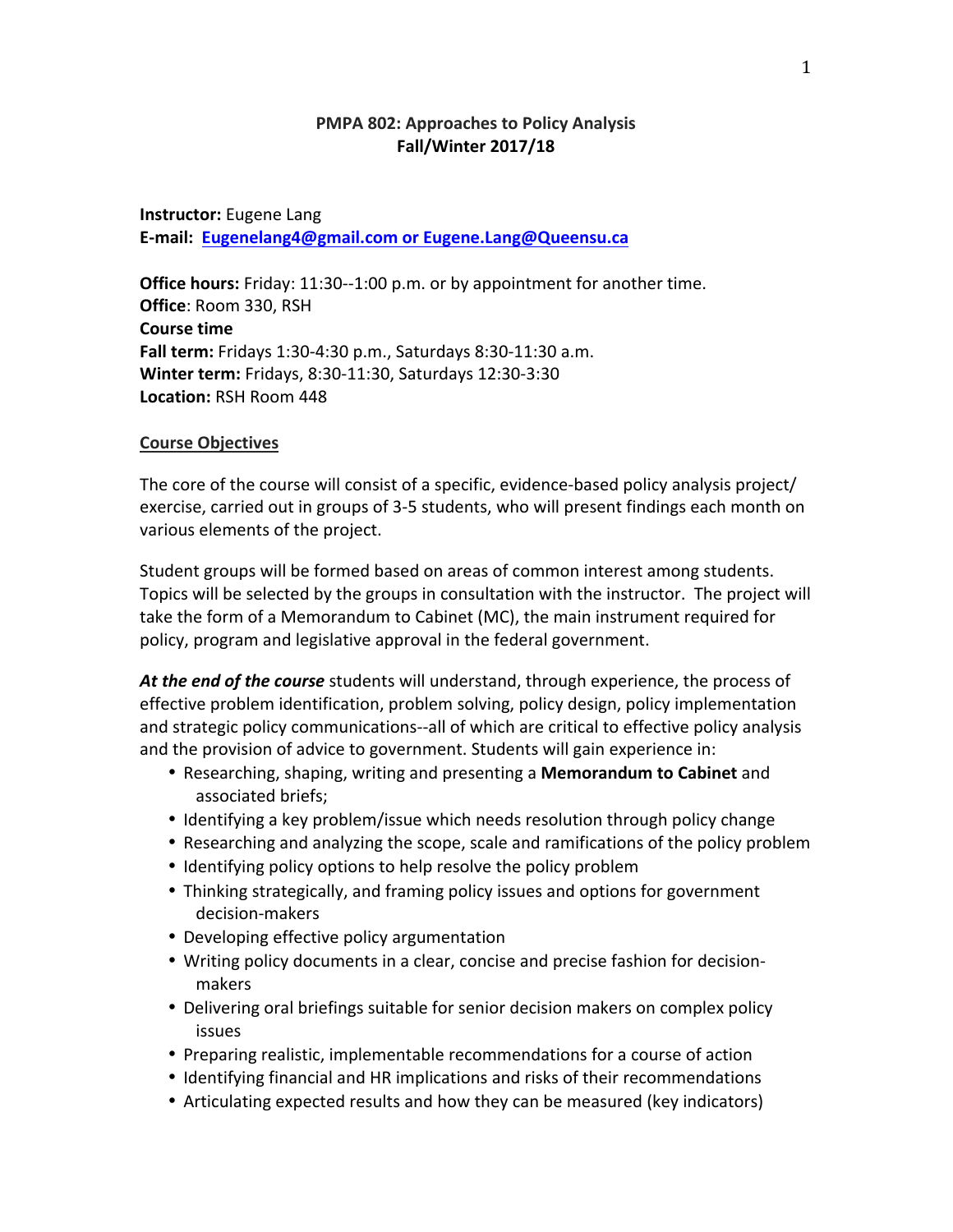# **PMPA 802: Approaches to Policy Analysis Fall/Winter 2017/18**

**Instructor:** Eugene Lang E-mail: Eugenelang4@gmail.com or Eugene.Lang@Queensu.ca

**Office hours:** Friday: 11:30--1:00 p.m. or by appointment for another time. **Office: Room 330, RSH Course time Fall term:** Fridays 1:30-4:30 p.m., Saturdays 8:30-11:30 a.m. **Winter term:** Fridays, 8:30-11:30, Saturdays 12:30-3:30 Location: RSH Room 448

#### **Course Objectives**

The core of the course will consist of a specific, evidence-based policy analysis project/ exercise, carried out in groups of 3-5 students, who will present findings each month on various elements of the project.

Student groups will be formed based on areas of common interest among students. Topics will be selected by the groups in consultation with the instructor. The project will take the form of a Memorandum to Cabinet (MC), the main instrument required for policy, program and legislative approval in the federal government.

**At the end of the course** students will understand, through experience, the process of effective problem identification, problem solving, policy design, policy implementation and strategic policy communications--all of which are critical to effective policy analysis and the provision of advice to government. Students will gain experience in:

- Researching, shaping, writing and presenting a **Memorandum to Cabinet** and associated briefs;
- Identifying a key problem/issue which needs resolution through policy change
- Researching and analyzing the scope, scale and ramifications of the policy problem
- Identifying policy options to help resolve the policy problem
- Thinking strategically, and framing policy issues and options for government decision-makers
- Developing effective policy argumentation
- Writing policy documents in a clear, concise and precise fashion for decisionmakers
- Delivering oral briefings suitable for senior decision makers on complex policy issues
- Preparing realistic, implementable recommendations for a course of action
- Identifying financial and HR implications and risks of their recommendations
- Articulating expected results and how they can be measured (key indicators)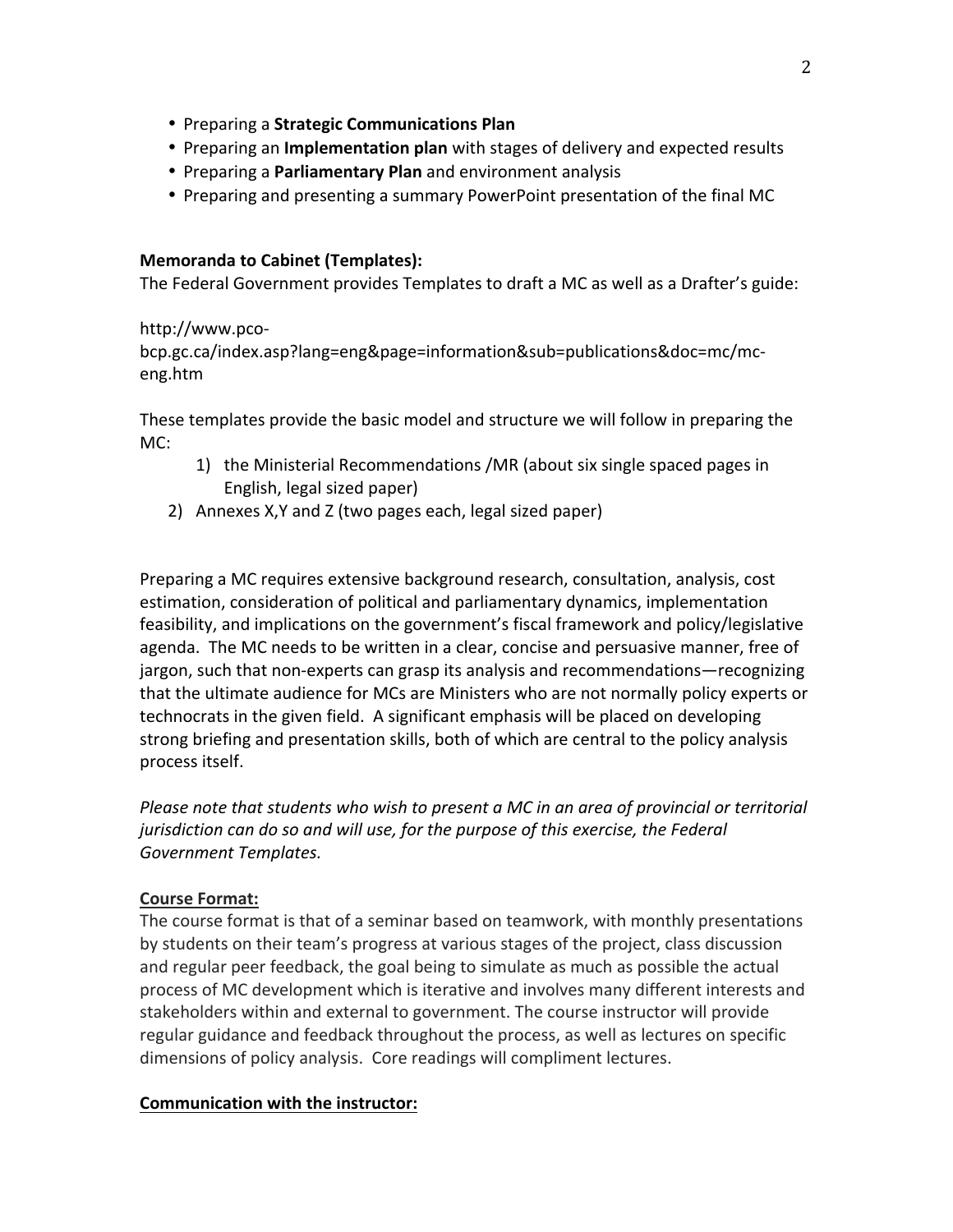- Preparing a **Strategic Communications Plan**
- Preparing an **Implementation plan** with stages of delivery and expected results
- Preparing a Parliamentary Plan and environment analysis
- Preparing and presenting a summary PowerPoint presentation of the final MC

## **Memoranda to Cabinet (Templates):**

The Federal Government provides Templates to draft a MC as well as a Drafter's guide:

### http://www.pco-

bcp.gc.ca/index.asp?lang=eng&page=information&sub=publications&doc=mc/mceng.htm

These templates provide the basic model and structure we will follow in preparing the MC:

- 1) the Ministerial Recommendations /MR (about six single spaced pages in English, legal sized paper)
- 2) Annexes X, Y and Z (two pages each, legal sized paper)

Preparing a MC requires extensive background research, consultation, analysis, cost estimation, consideration of political and parliamentary dynamics, implementation feasibility, and implications on the government's fiscal framework and policy/legislative agenda. The MC needs to be written in a clear, concise and persuasive manner, free of jargon, such that non-experts can grasp its analysis and recommendations—recognizing that the ultimate audience for MCs are Ministers who are not normally policy experts or technocrats in the given field. A significant emphasis will be placed on developing strong briefing and presentation skills, both of which are central to the policy analysis process itself.

*Please note that students who wish to present a MC in an area of provincial or territorial jurisdiction can do so and will use, for the purpose of this exercise, the Federal Government Templates.*

## **Course Format:**

The course format is that of a seminar based on teamwork, with monthly presentations by students on their team's progress at various stages of the project, class discussion and regular peer feedback, the goal being to simulate as much as possible the actual process of MC development which is iterative and involves many different interests and stakeholders within and external to government. The course instructor will provide regular guidance and feedback throughout the process, as well as lectures on specific dimensions of policy analysis. Core readings will compliment lectures.

## **Communication with the instructor:**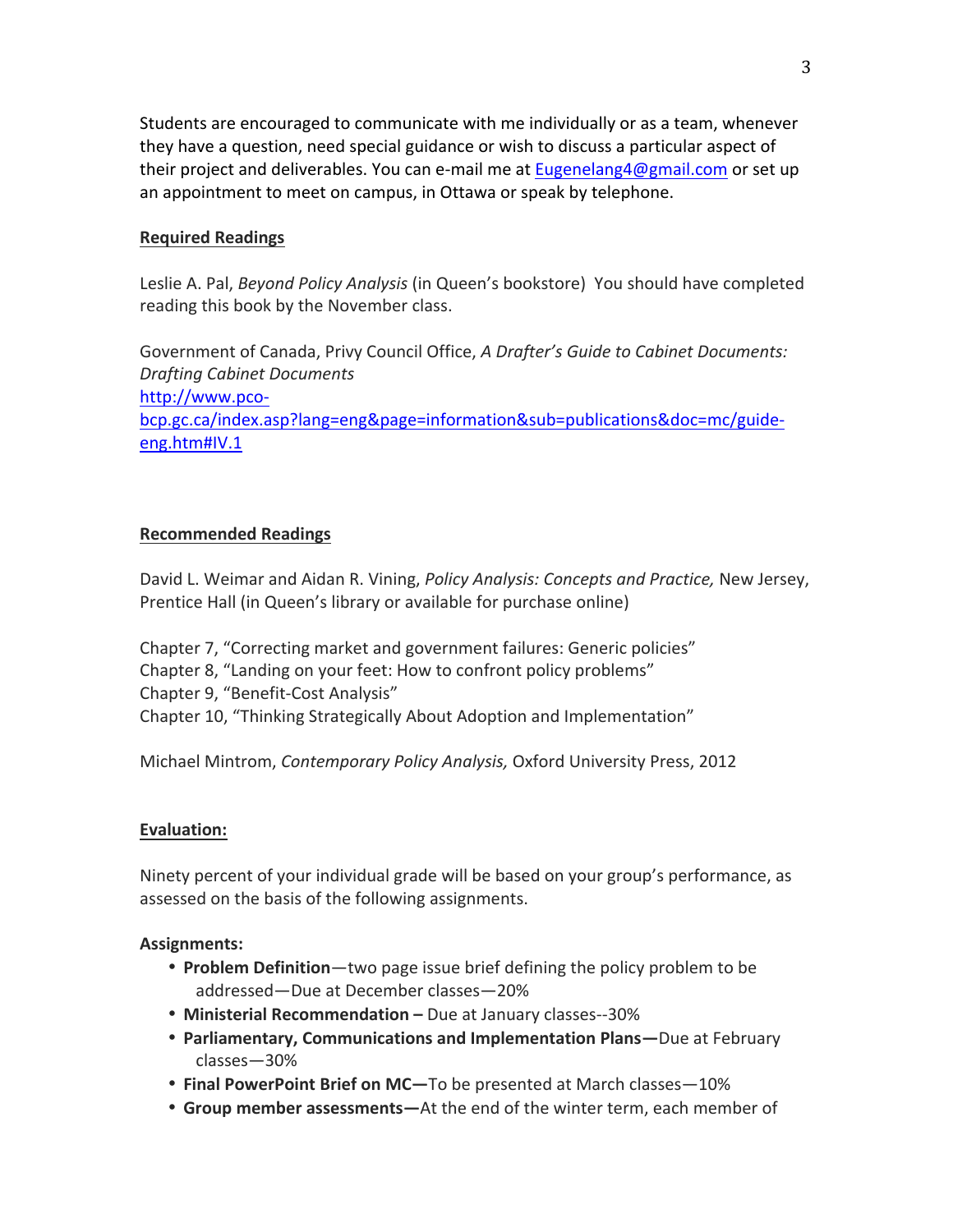Students are encouraged to communicate with me individually or as a team, whenever they have a question, need special guidance or wish to discuss a particular aspect of their project and deliverables. You can e-mail me at Eugenelang4@gmail.com or set up an appointment to meet on campus, in Ottawa or speak by telephone.

## **Required Readings**

Leslie A. Pal, *Beyond Policy Analysis* (in Queen's bookstore) You should have completed reading this book by the November class.

Government of Canada, Privy Council Office, *A Drafter's Guide to Cabinet Documents: Drafting Cabinet Documents* http://www.pcobcp.gc.ca/index.asp?lang=eng&page=information&sub=publications&doc=mc/guideeng.htm#IV.1

## **Recommended Readings**

David L. Weimar and Aidan R. Vining, *Policy Analysis: Concepts and Practice*, New Jersey, Prentice Hall (in Queen's library or available for purchase online)

Chapter 7, "Correcting market and government failures: Generic policies" Chapter 8, "Landing on your feet: How to confront policy problems" Chapter 9, "Benefit-Cost Analysis" Chapter 10, "Thinking Strategically About Adoption and Implementation"

Michael Mintrom, *Contemporary Policy Analysis*, Oxford University Press, 2012

#### **Evaluation:**

Ninety percent of your individual grade will be based on your group's performance, as assessed on the basis of the following assignments.

#### **Assignments:**

- **Problem Definition**—two page issue brief defining the policy problem to be addressed—Due at December classes—20%
- **Ministerial Recommendation** Due at January classes--30%
- **Parliamentary, Communications and Implementation Plans-**Due at February classes—30%
- **Final PowerPoint Brief on MC—**To be presented at March classes—10%
- Group member assessments—At the end of the winter term, each member of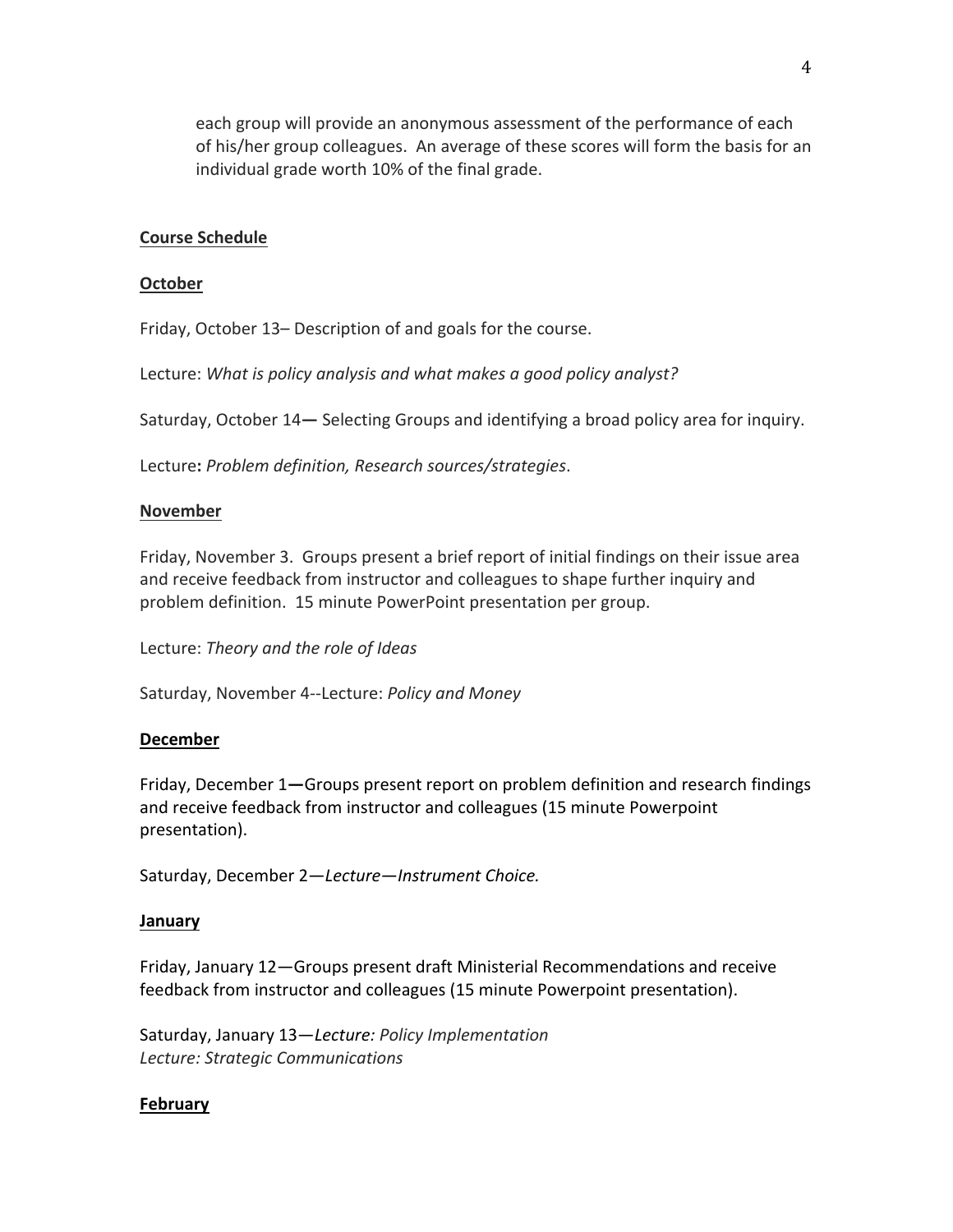each group will provide an anonymous assessment of the performance of each of his/her group colleagues. An average of these scores will form the basis for an individual grade worth 10% of the final grade.

### **Course Schedule**

#### **October**

Friday, October 13– Description of and goals for the course.

Lecture: What is policy analysis and what makes a good policy analyst?

Saturday, October 14–Selecting Groups and identifying a broad policy area for inquiry.

Lecture: Problem definition, Research sources/strategies.

### **November**

Friday, November 3. Groups present a brief report of initial findings on their issue area and receive feedback from instructor and colleagues to shape further inquiry and problem definition. 15 minute PowerPoint presentation per group.

Lecture: *Theory and the role of Ideas*

Saturday, November 4--Lecture: *Policy and Money* 

#### **December**

Friday, December 1—Groups present report on problem definition and research findings and receive feedback from instructor and colleagues (15 minute Powerpoint presentation). 

Saturday, December 2-Lecture-Instrument Choice.

#### **January**

Friday, January 12-Groups present draft Ministerial Recommendations and receive feedback from instructor and colleagues (15 minute Powerpoint presentation).

Saturday, January 13-Lecture: Policy Implementation *Lecture: Strategic Communications*

## **February**